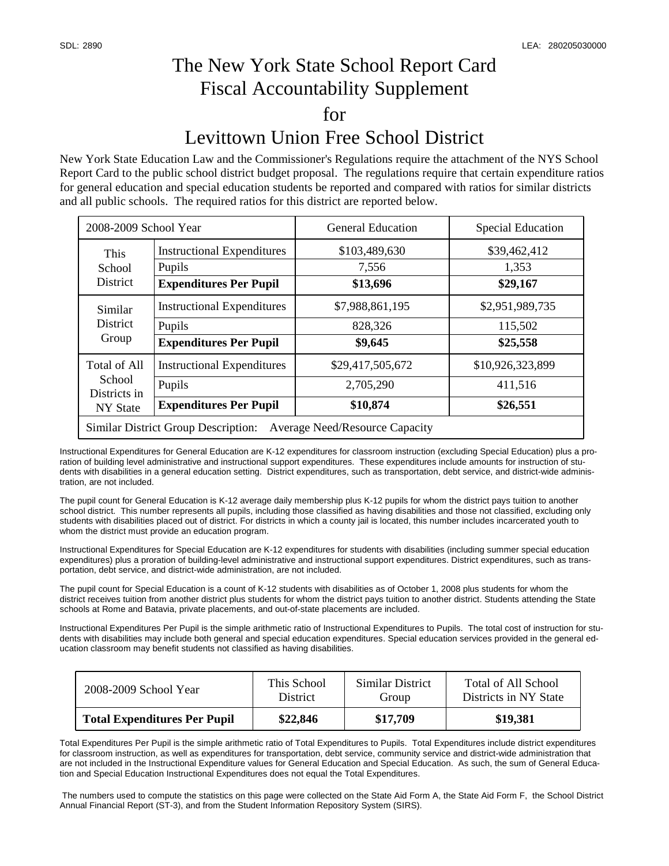## The New York State School Report Card Fiscal Accountability Supplement for Levittown Union Free School District

New York State Education Law and the Commissioner's Regulations require the attachment of the NYS School Report Card to the public school district budget proposal. The regulations require that certain expenditure ratios for general education and special education students be reported and compared with ratios for similar districts and all public schools. The required ratios for this district are reported below.

| 2008-2009 School Year                                                               |                                                                              | <b>General Education</b>                  | <b>Special Education</b>                |  |  |  |
|-------------------------------------------------------------------------------------|------------------------------------------------------------------------------|-------------------------------------------|-----------------------------------------|--|--|--|
| This<br>School<br>District                                                          | <b>Instructional Expenditures</b><br>Pupils<br><b>Expenditures Per Pupil</b> | \$103,489,630<br>7,556<br>\$13,696        | \$39,462,412<br>1,353<br>\$29,167       |  |  |  |
| Similar<br><b>District</b><br>Group                                                 | <b>Instructional Expenditures</b><br>Pupils<br><b>Expenditures Per Pupil</b> | \$7,988,861,195<br>828,326<br>\$9,645     | \$2,951,989,735<br>115,502<br>\$25,558  |  |  |  |
| Total of All<br>School<br>Districts in<br>NY State                                  | <b>Instructional Expenditures</b><br>Pupils<br><b>Expenditures Per Pupil</b> | \$29,417,505,672<br>2,705,290<br>\$10,874 | \$10,926,323,899<br>411,516<br>\$26,551 |  |  |  |
| <b>Similar District Group Description:</b><br><b>Average Need/Resource Capacity</b> |                                                                              |                                           |                                         |  |  |  |

Instructional Expenditures for General Education are K-12 expenditures for classroom instruction (excluding Special Education) plus a proration of building level administrative and instructional support expenditures. These expenditures include amounts for instruction of students with disabilities in a general education setting. District expenditures, such as transportation, debt service, and district-wide administration, are not included.

 school district. This number represents all pupils, including those classified as having disabilities and those not classified, excluding only students with disabilities placed out of district. For districts in which a county jail is located, this number includes incarcerated youth to The pupil count for General Education is K-12 average daily membership plus K-12 pupils for whom the district pays tuition to another whom the district must provide an education program.

 Instructional Expenditures for Special Education are K-12 expenditures for students with disabilities (including summer special education portation, debt service, and district-wide administration, are not included. expenditures) plus a proration of building-level administrative and instructional support expenditures. District expenditures, such as trans-

 The pupil count for Special Education is a count of K-12 students with disabilities as of October 1, 2008 plus students for whom the district receives tuition from another district plus students for whom the district pays tuition to another district. Students attending the State schools at Rome and Batavia, private placements, and out-of-state placements are included.

Instructional Expenditures Per Pupil is the simple arithmetic ratio of Instructional Expenditures to Pupils. The total cost of instruction for students with disabilities may include both general and special education expenditures. Special education services provided in the general education classroom may benefit students not classified as having disabilities.

| 2008-2009 School Year               | This School     | Similar District | Total of All School   |
|-------------------------------------|-----------------|------------------|-----------------------|
|                                     | <b>District</b> | Group            | Districts in NY State |
| <b>Total Expenditures Per Pupil</b> | \$22,846        | \$17,709         | \$19,381              |

 Total Expenditures Per Pupil is the simple arithmetic ratio of Total Expenditures to Pupils. Total Expenditures include district expenditures for classroom instruction, as well as expenditures for transportation, debt service, community service and district-wide administration that are not included in the Instructional Expenditure values for General Education and Special Education. As such, the sum of General Education and Special Education Instructional Expenditures does not equal the Total Expenditures.

 The numbers used to compute the statistics on this page were collected on the State Aid Form A, the State Aid Form F, the School District Annual Financial Report (ST-3), and from the Student Information Repository System (SIRS).